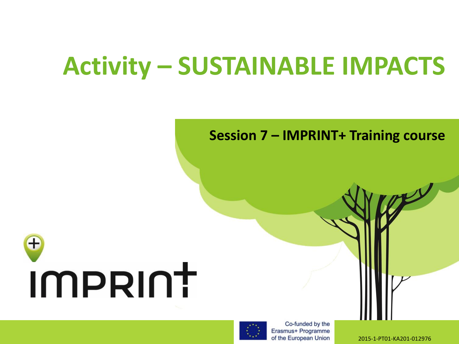#### **Activity – SUSTAINABLE IMPACTS**

#### **Session 7 – IMPRINT+ Training course**





Co-funded by the Erasmus+ Programme of the European Union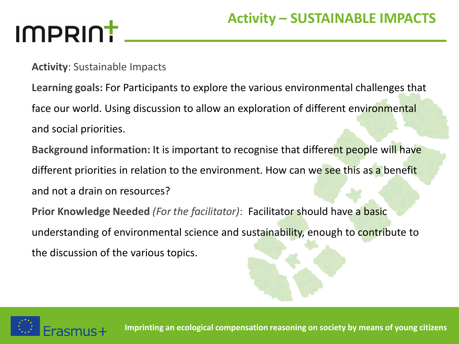**Activity**: Sustainable Impacts

**Learning goals:** For Participants to explore the various environmental challenges that face our world. Using discussion to allow an exploration of different environmental and social priorities.

**Background information:** It is important to recognise that different people will have different priorities in relation to the environment. How can we see this as a benefit and not a drain on resources?

**Prior Knowledge Needed** *(For the facilitator)*: Facilitator should have a basic understanding of environmental science and sustainability, enough to contribute to the discussion of the various topics.



**Imprinting an ecological compensation reasoning on society by means of young citizens**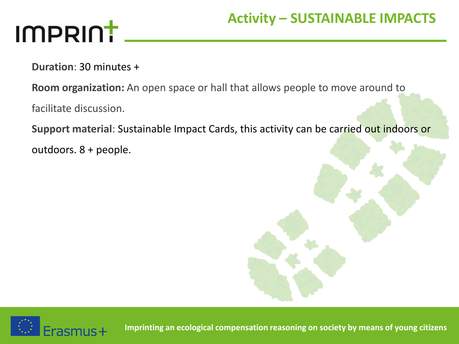**Duration**: 30 minutes +

**Room organization:** An open space or hall that allows people to move around to

facilitate discussion.

**Support material**: Sustainable Impact Cards, this activity can be carried out indoors or

outdoors. 8 + people.



**Imprinting an ecological compensation reasoning on society by means of young citizens**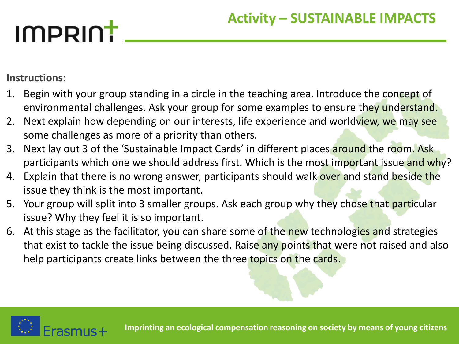**Instructions**:

- 1. Begin with your group standing in a circle in the teaching area. Introduce the concept of environmental challenges. Ask your group for some examples to ensure they understand.
- 2. Next explain how depending on our interests, life experience and worldview, we may see some challenges as more of a priority than others.
- 3. Next lay out 3 of the 'Sustainable Impact Cards' in different places around the room. Ask participants which one we should address first. Which is the most important issue and why?
- 4. Explain that there is no wrong answer, participants should walk over and stand beside the issue they think is the most important.
- 5. Your group will split into 3 smaller groups. Ask each group why they chose that particular issue? Why they feel it is so important.
- 6. At this stage as the facilitator, you can share some of the new technologies and strategies that exist to tackle the issue being discussed. Raise any points that were not raised and also help participants create links between the three topics on the cards.